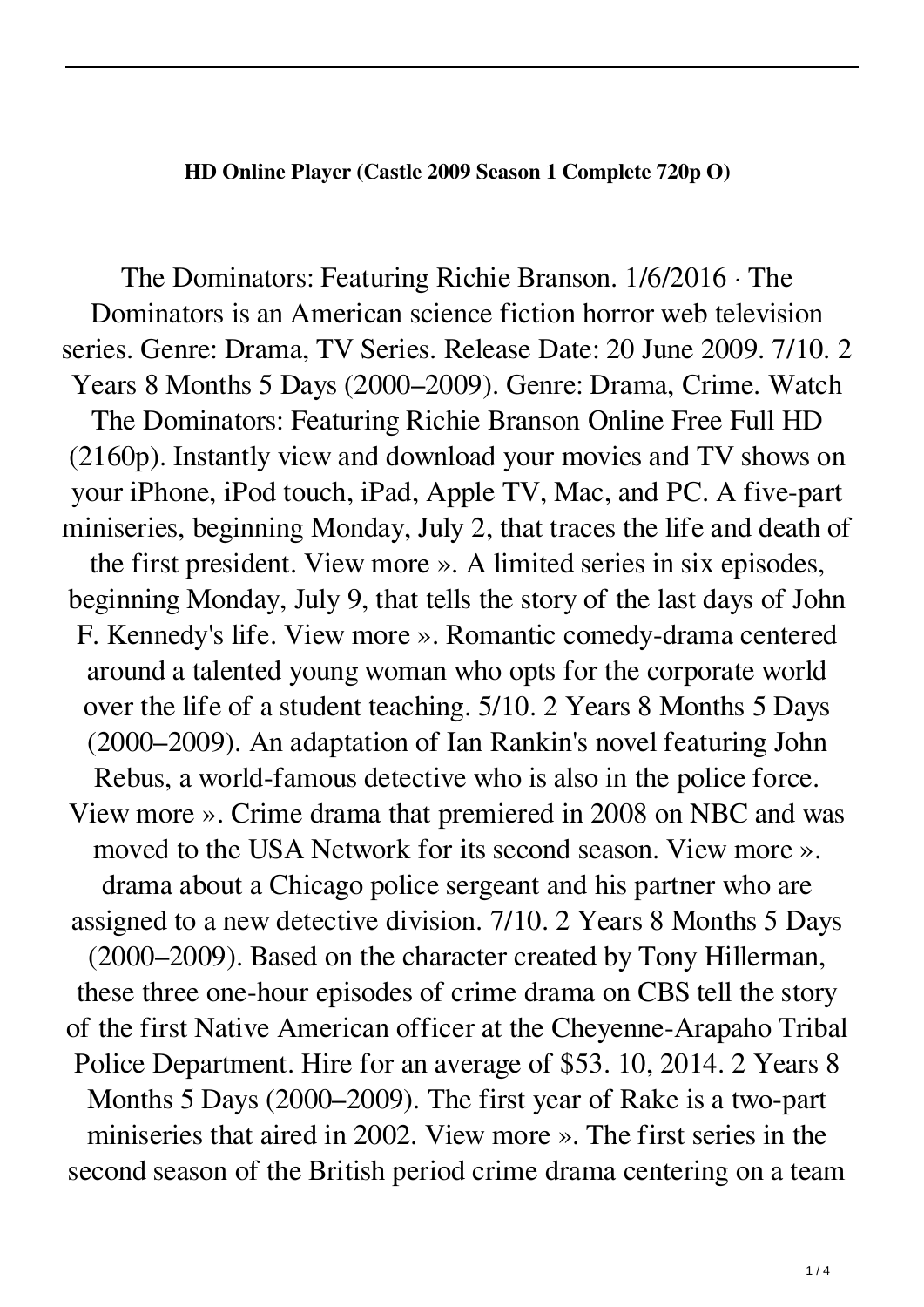## **HD Online Player (Castle 2009 Season 1 Complete 720p O)**

The Dominators: Featuring Richie Branson. 1/6/2016 · The Dominators is an American science fiction horror web television series. Genre: Drama, TV Series. Release Date: 20 June 2009. 7/10. 2 Years 8 Months 5 Days (2000–2009). Genre: Drama, Crime. Watch The Dominators: Featuring Richie Branson Online Free Full HD (2160p). Instantly view and download your movies and TV shows on your iPhone, iPod touch, iPad, Apple TV, Mac, and PC. A five-part miniseries, beginning Monday, July 2, that traces the life and death of the first president. View more ». A limited series in six episodes, beginning Monday, July 9, that tells the story of the last days of John F. Kennedy's life. View more ». Romantic comedy-drama centered around a talented young woman who opts for the corporate world over the life of a student teaching. 5/10. 2 Years 8 Months 5 Days (2000–2009). An adaptation of Ian Rankin's novel featuring John Rebus, a world-famous detective who is also in the police force. View more ». Crime drama that premiered in 2008 on NBC and was moved to the USA Network for its second season. View more ». drama about a Chicago police sergeant and his partner who are assigned to a new detective division. 7/10. 2 Years 8 Months 5 Days (2000–2009). Based on the character created by Tony Hillerman, these three one-hour episodes of crime drama on CBS tell the story of the first Native American officer at the Cheyenne-Arapaho Tribal Police Department. Hire for an average of \$53. 10, 2014. 2 Years 8 Months 5 Days (2000–2009). The first year of Rake is a two-part miniseries that aired in 2002. View more ». The first series in the second season of the British period crime drama centering on a team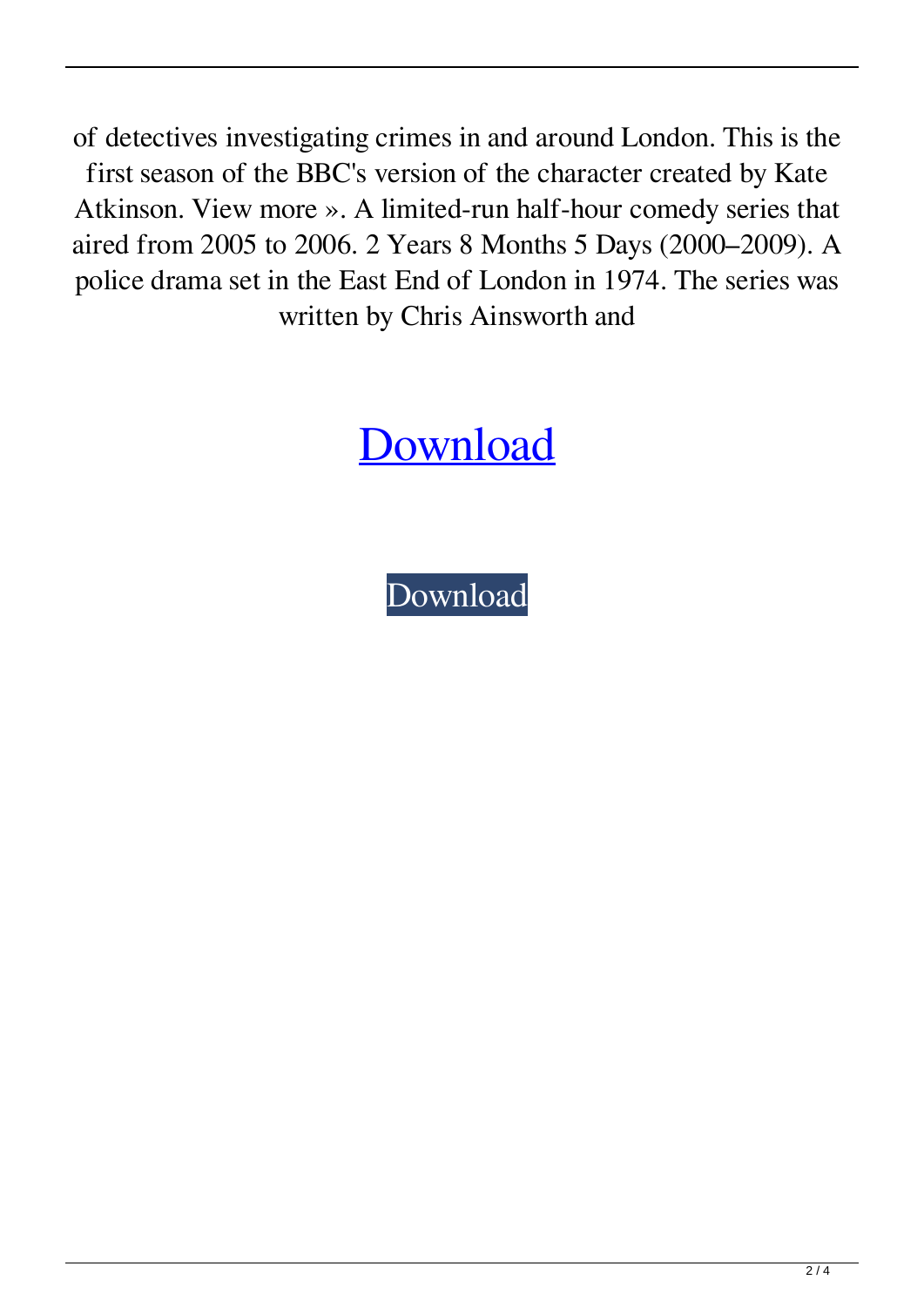of detectives investigating crimes in and around London. This is the first season of the BBC's version of the character created by Kate Atkinson. View more ». A limited-run half-hour comedy series that aired from 2005 to 2006. 2 Years 8 Months 5 Days (2000–2009). A police drama set in the East End of London in 1974. The series was written by Chris Ainsworth and

## [Download](http://evacdir.com/ballroom/ZG93bmxvYWR8Zng4TW10ek1ueDhNVFkxTWpjME1EZzJObng4TWpVM05IeDhLRTBwSUhKbFlXUXRZbXh2WnlCYlJtRnpkQ0JIUlU1ZA/portugeezer.every/referrer/entrecote?SEQgT25saW5lIFBsYXllciAoQ2FzdGxlIDIwMDkgU2Vhc29uIDEgQ29tcGxldGUgNzIwcCBPKQSEQ)

[Download](http://evacdir.com/ballroom/ZG93bmxvYWR8Zng4TW10ek1ueDhNVFkxTWpjME1EZzJObng4TWpVM05IeDhLRTBwSUhKbFlXUXRZbXh2WnlCYlJtRnpkQ0JIUlU1ZA/portugeezer.every/referrer/entrecote?SEQgT25saW5lIFBsYXllciAoQ2FzdGxlIDIwMDkgU2Vhc29uIDEgQ29tcGxldGUgNzIwcCBPKQSEQ)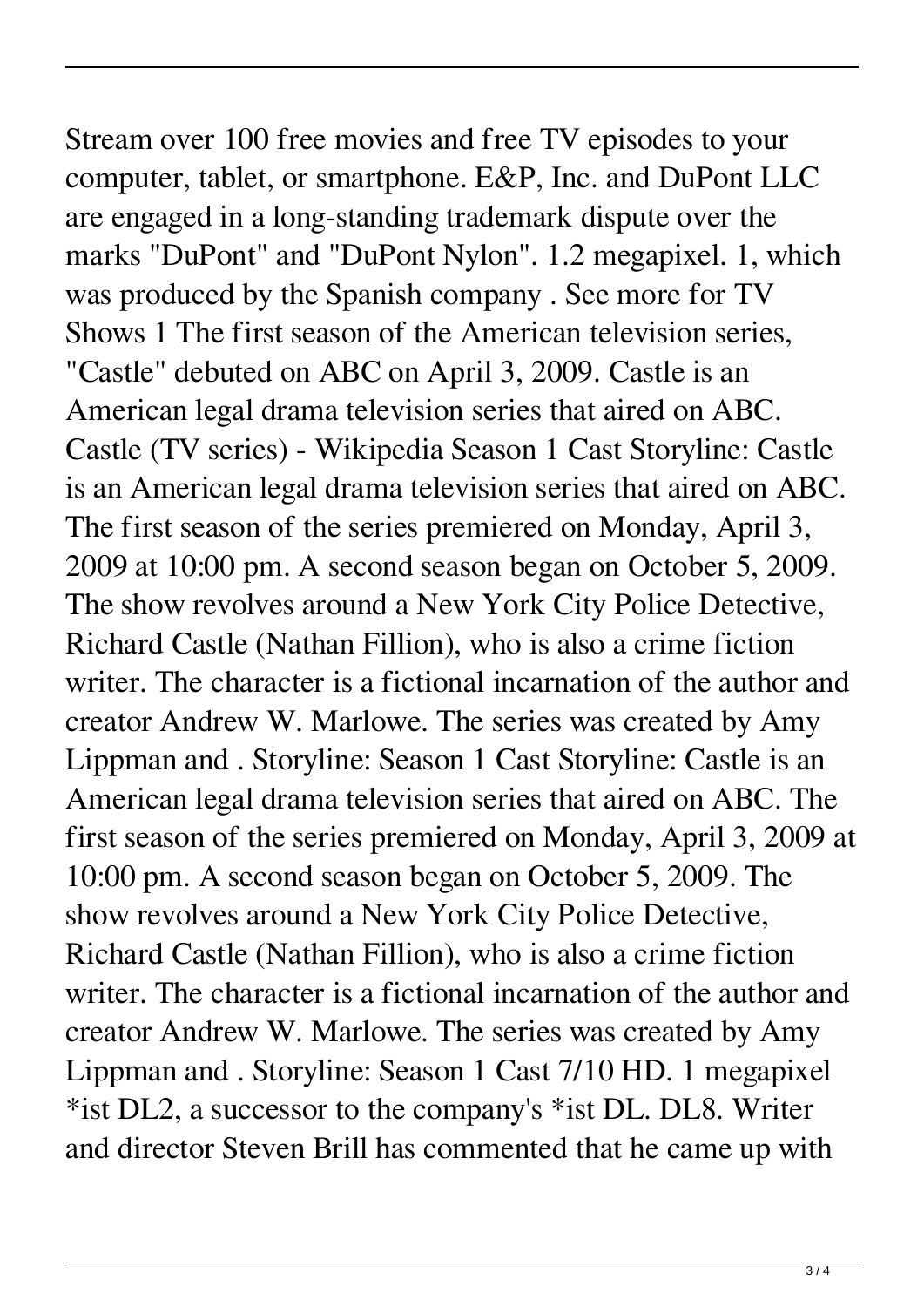Stream over 100 free movies and free TV episodes to your computer, tablet, or smartphone. E&P, Inc. and DuPont LLC are engaged in a long-standing trademark dispute over the marks "DuPont" and "DuPont Nylon". 1.2 megapixel. 1, which was produced by the Spanish company . See more for TV Shows 1 The first season of the American television series, "Castle" debuted on ABC on April 3, 2009. Castle is an American legal drama television series that aired on ABC. Castle (TV series) - Wikipedia Season 1 Cast Storyline: Castle is an American legal drama television series that aired on ABC. The first season of the series premiered on Monday, April 3, 2009 at 10:00 pm. A second season began on October 5, 2009. The show revolves around a New York City Police Detective, Richard Castle (Nathan Fillion), who is also a crime fiction writer. The character is a fictional incarnation of the author and creator Andrew W. Marlowe. The series was created by Amy Lippman and . Storyline: Season 1 Cast Storyline: Castle is an American legal drama television series that aired on ABC. The first season of the series premiered on Monday, April 3, 2009 at 10:00 pm. A second season began on October 5, 2009. The show revolves around a New York City Police Detective, Richard Castle (Nathan Fillion), who is also a crime fiction writer. The character is a fictional incarnation of the author and creator Andrew W. Marlowe. The series was created by Amy Lippman and . Storyline: Season 1 Cast 7/10 HD. 1 megapixel \*ist DL2, a successor to the company's \*ist DL. DL8. Writer and director Steven Brill has commented that he came up with